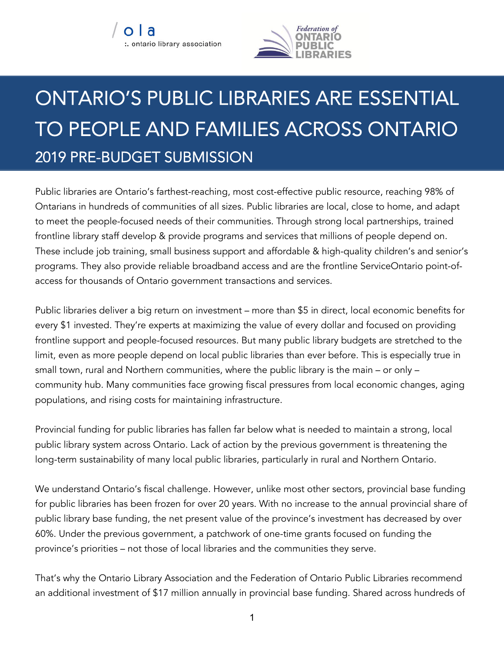

## ONTARIO'S PUBLIC LIBRARIES ARE ESSENTIAL TO PEOPLE AND FAMILIES ACROSS ONTARIO 2019 PRE-BUDGET SUBMISSION

Public libraries are Ontario's farthest-reaching, most cost-effective public resource, reaching 98% of Ontarians in hundreds of communities of all sizes. Public libraries are local, close to home, and adapt to meet the people-focused needs of their communities. Through strong local partnerships, trained frontline library staff develop & provide programs and services that millions of people depend on. These include job training, small business support and affordable & high-quality children's and senior's programs. They also provide reliable broadband access and are the frontline ServiceOntario point-ofaccess for thousands of Ontario government transactions and services.

Public libraries deliver a big return on investment – more than \$5 in direct, local economic benefits for every \$1 invested. They're experts at maximizing the value of every dollar and focused on providing frontline support and people-focused resources. But many public library budgets are stretched to the limit, even as more people depend on local public libraries than ever before. This is especially true in small town, rural and Northern communities, where the public library is the main – or only – community hub. Many communities face growing fiscal pressures from local economic changes, aging populations, and rising costs for maintaining infrastructure.

Provincial funding for public libraries has fallen far below what is needed to maintain a strong, local public library system across Ontario. Lack of action by the previous government is threatening the long-term sustainability of many local public libraries, particularly in rural and Northern Ontario.

We understand Ontario's fiscal challenge. However, unlike most other sectors, provincial base funding for public libraries has been frozen for over 20 years. With no increase to the annual provincial share of public library base funding, the net present value of the province's investment has decreased by over 60%. Under the previous government, a patchwork of one-time grants focused on funding the province's priorities – not those of local libraries and the communities they serve.

That's why the Ontario Library Association and the Federation of Ontario Public Libraries recommend an additional investment of \$17 million annually in provincial base funding. Shared across hundreds of